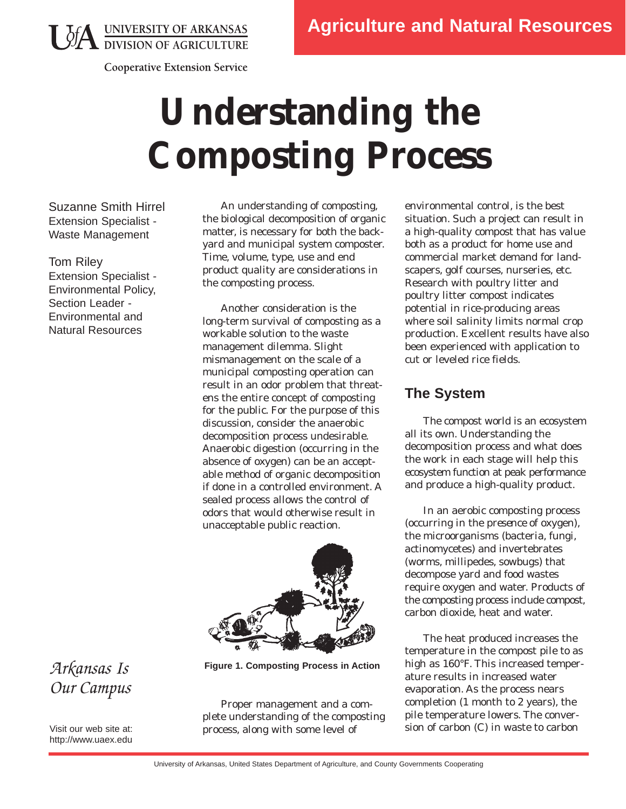**JA UNIVERSITY OF ARKANSAS**<br>DIVISION OF AGRICULTURE



# **Understanding the Composting Process**

Suzanne Smith Hirrel Extension Specialist - Waste Management

Tom Riley Extension Specialist - Environmental Policy, Section Leader - Environmental and Natural Resources

An understanding of composting, the biological decomposition of organic matter, is necessary for both the backyard and municipal system composter. Time, volume, type, use and end product quality are considerations in the composting process.

Another consideration is the long-term survival of composting as a workable solution to the waste management dilemma. Slight mismanagement on the scale of a municipal composting operation can result in an odor problem that threatens the entire concept of composting for the public. For the purpose of this discussion, consider the anaerobic decomposition process undesirable. Anaerobic digestion (occurring in the absence of oxygen) can be an acceptable method of organic decomposition if done in a controlled environment. A sealed process allows the control of odors that would otherwise result in unacceptable public reaction.



**Figure 1. Composting Process in Action** 

Proper management and a complete understanding of the composting process, along with some level of

environmental control, is the best situation. Such a project can result in a high-quality compost that has value both as a product for home use and commercial market demand for landscapers, golf courses, nurseries, etc. Research with poultry litter and poultry litter compost indicates potential in rice-producing areas where soil salinity limits normal crop production. Excellent results have also been experienced with application to cut or leveled rice fields.

### **The System**

The compost world is an ecosystem all its own. Understanding the decomposition process and what does the work in each stage will help this ecosystem function at peak performance and produce a high-quality product.

In an aerobic composting process (occurring in the *presence* of oxygen), the microorganisms (bacteria, fungi, actinomycetes) and invertebrates (worms, millipedes, sowbugs) that decompose yard and food wastes require oxygen and water. Products of the composting process include compost, carbon dioxide, heat and water.

The heat produced increases the temperature in the compost pile to as high as 160°F. This increased temperature results in increased water evaporation. As the process nears completion (1 month to 2 years), the pile temperature lowers. The conversion of carbon (C) in waste to carbon

## *Arkansas Is Our Campus*

Visit our web site at: http://www.uaex.edu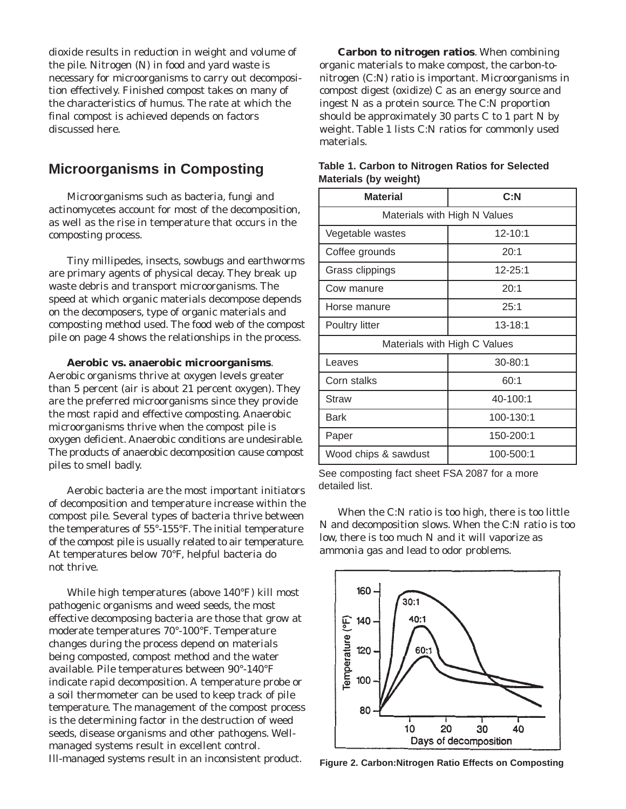dioxide results in reduction in weight and volume of the pile. Nitrogen (N) in food and yard waste is necessary for microorganisms to carry out decomposition effectively. Finished compost takes on many of the characteristics of humus. The rate at which the final compost is achieved depends on factors discussed here.

#### **Microorganisms in Composting**

Microorganisms such as bacteria, fungi and actinomycetes account for most of the decomposition, as well as the rise in temperature that occurs in the composting process.

Tiny millipedes, insects, sowbugs and earthworms are primary agents of physical decay. They break up waste debris and transport microorganisms. The speed at which organic materials decompose depends on the decomposers, type of organic materials and composting method used. The food web of the compost pile on page 4 shows the relationships in the process.

**Aerobic vs. anaerobic microorganisms**.

Aerobic organisms thrive at oxygen levels greater than 5 percent (air is about 21 percent oxygen). They are the preferred microorganisms since they provide the most rapid and effective composting. Anaerobic microorganisms thrive when the compost pile is oxygen deficient. Anaerobic conditions are undesirable. The products of anaerobic decomposition cause compost piles to smell badly.

Aerobic bacteria are the most important initiators of decomposition and temperature increase within the compost pile. Several types of bacteria thrive between the temperatures of 55°-155°F. The initial temperature of the compost pile is usually related to air temperature. At temperatures below 70°F, helpful bacteria do not thrive.

While high temperatures (above 140°F) kill most pathogenic organisms and weed seeds, the most effective decomposing bacteria are those that grow at moderate temperatures 70°-100°F. Temperature changes during the process depend on materials being composted, compost method and the water available. Pile temperatures between 90°-140°F indicate rapid decomposition. A temperature probe or a soil thermometer can be used to keep track of pile temperature. The management of the compost process is the determining factor in the destruction of weed seeds, disease organisms and other pathogens. Wellmanaged systems result in excellent control. Ill-managed systems result in an inconsistent product.

**Carbon to nitrogen ratios**. When combining organic materials to make compost, the carbon-tonitrogen (C:N) ratio is important. Microorganisms in compost digest (oxidize) C as an energy source and ingest N as a protein source. The C:N proportion should be approximately 30 parts C to 1 part N by weight. Table 1 lists C:N ratios for commonly used materials.

| <b>Material</b>              | C: N      |
|------------------------------|-----------|
| Materials with High N Values |           |
| Vegetable wastes             | 12-10:1   |
| Coffee grounds               | 20:1      |
| Grass clippings              | 12-25:1   |
| Cow manure                   | 20:1      |
| Horse manure                 | 25:1      |
| Poultry litter               | 13-18:1   |
| Materials with High C Values |           |
| Leaves                       | 30-80:1   |
| Corn stalks                  | 60:1      |
| Straw                        | 40-100:1  |
| <b>Bark</b>                  | 100-130:1 |
| Paper                        | 150-200:1 |
| Wood chips & sawdust         | 100-500:1 |

#### **Table 1. Carbon to Nitrogen Ratios for Selected Materials (by weight)**

See composting fact sheet FSA 2087 for a more detailed list.

When the C:N ratio is too high, there is too little N and decomposition slows. When the C:N ratio is too low, there is too much N and it will vaporize as ammonia gas and lead to odor problems.



**Figure 2. Carbon:Nitrogen Ratio Effects on Composting**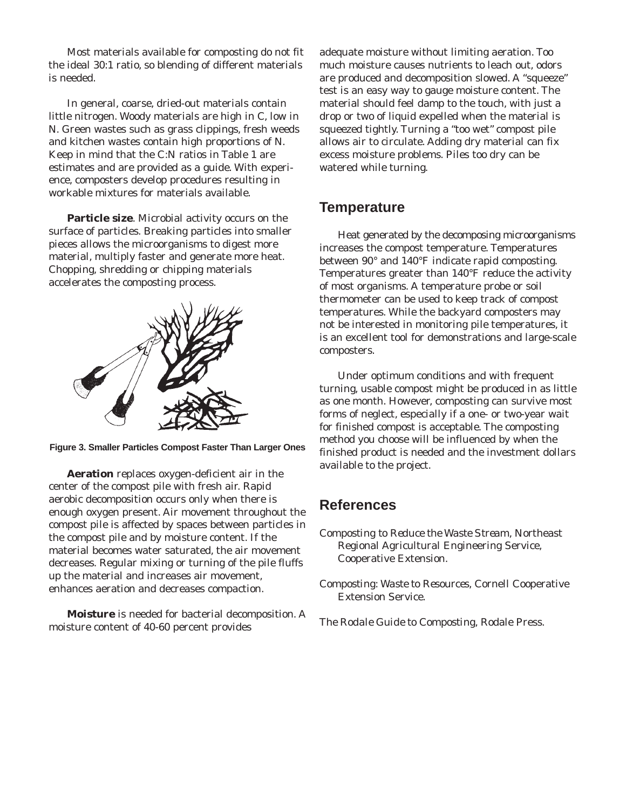Most materials available for composting do not fit the ideal 30:1 ratio, so blending of different materials is needed.

In general, coarse, dried-out materials contain little nitrogen. Woody materials are high in C, low in N. Green wastes such as grass clippings, fresh weeds and kitchen wastes contain high proportions of N. Keep in mind that the C:N ratios in Table 1 are estimates and are provided as a guide. With experience, composters develop procedures resulting in workable mixtures for materials available.

**Particle size**. Microbial activity occurs on the surface of particles. Breaking particles into smaller pieces allows the microorganisms to digest more material, multiply faster and generate more heat. Chopping, shredding or chipping materials accelerates the composting process.



**Figure 3. Smaller Particles Compost Faster Than Larger Ones** 

**Aeration** replaces oxygen-deficient air in the center of the compost pile with fresh air. Rapid aerobic decomposition occurs only when there is enough oxygen present. Air movement throughout the compost pile is affected by spaces between particles in the compost pile and by moisture content. If the material becomes water saturated, the air movement decreases. Regular mixing or turning of the pile fluffs up the material and increases air movement, enhances aeration and decreases compaction.

**Moisture** is needed for bacterial decomposition. A moisture content of 40-60 percent provides

adequate moisture without limiting aeration. Too much moisture causes nutrients to leach out, odors are produced and decomposition slowed. A "squeeze" test is an easy way to gauge moisture content. The material should feel damp to the touch, with just a drop or two of liquid expelled when the material is squeezed tightly. Turning a "too wet" compost pile allows air to circulate. Adding dry material can fix excess moisture problems. Piles too dry can be watered while turning.

#### **Temperature**

Heat generated by the decomposing microorganisms increases the compost temperature. Temperatures between 90° and 140°F indicate rapid composting. Temperatures greater than 140°F reduce the activity of most organisms. A temperature probe or soil thermometer can be used to keep track of compost temperatures. While the backyard composters may not be interested in monitoring pile temperatures, it is an excellent tool for demonstrations and large-scale composters.

Under optimum conditions and with frequent turning, usable compost might be produced in as little as one month. However, composting can survive most forms of neglect, especially if a one- or two-year wait for finished compost is acceptable. The composting method you choose will be influenced by when the finished product is needed and the investment dollars available to the project.

### **References**

- *Composting to Reduce the Waste Stream*, Northeast Regional Agricultural Engineering Service, Cooperative Extension.
- *Composting: Waste to Resources*, Cornell Cooperative Extension Service.
- *The Rodale Guide to Composting*, Rodale Press.